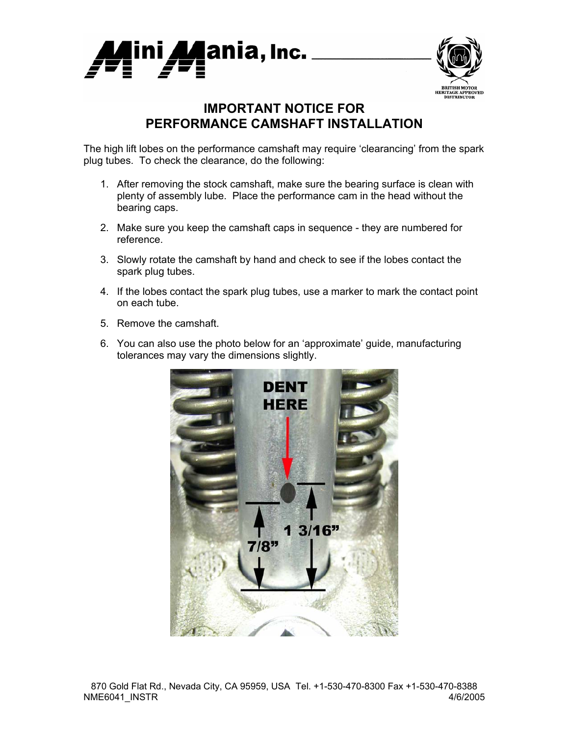



## **IMPORTANT NOTICE FOR PERFORMANCE CAMSHAFT INSTALLATION**

The high lift lobes on the performance camshaft may require 'clearancing' from the spark plug tubes. To check the clearance, do the following:

- 1. After removing the stock camshaft, make sure the bearing surface is clean with plenty of assembly lube. Place the performance cam in the head without the bearing caps.
- 2. Make sure you keep the camshaft caps in sequence they are numbered for reference.
- 3. Slowly rotate the camshaft by hand and check to see if the lobes contact the spark plug tubes.
- 4. If the lobes contact the spark plug tubes, use a marker to mark the contact point on each tube.
- 5. Remove the camshaft.
- 6. You can also use the photo below for an 'approximate' guide, manufacturing tolerances may vary the dimensions slightly.